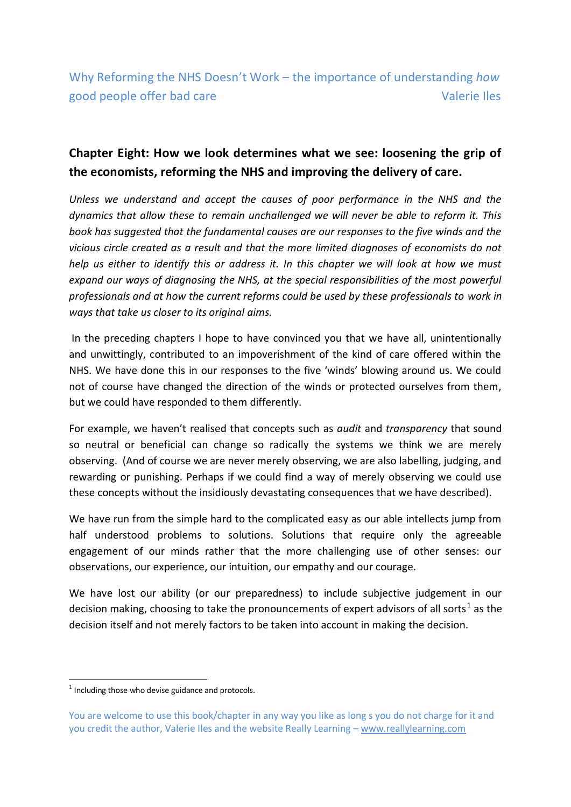# **Chapter Eight: How we look determines what we see: loosening the grip of the economists, reforming the NHS and improving the delivery of care.**

*Unless we understand and accept the causes of poor performance in the NHS and the dynamics that allow these to remain unchallenged we will never be able to reform it. This book has suggested that the fundamental causes are our responses to the five winds and the vicious circle created as a result and that the more limited diagnoses of economists do not help us either to identify this or address it. In this chapter we will look at how we must expand our ways of diagnosing the NHS, at the special responsibilities of the most powerful professionals and at how the current reforms could be used by these professionals to work in ways that take us closer to its original aims.* 

In the preceding chapters I hope to have convinced you that we have all, unintentionally and unwittingly, contributed to an impoverishment of the kind of care offered within the NHS. We have done this in our responses to the five 'winds' blowing around us. We could not of course have changed the direction of the winds or protected ourselves from them, but we could have responded to them differently.

For example, we haven't realised that concepts such as *audit* and *transparency* that sound so neutral or beneficial can change so radically the systems we think we are merely observing. (And of course we are never merely observing, we are also labelling, judging, and rewarding or punishing. Perhaps if we could find a way of merely observing we could use these concepts without the insidiously devastating consequences that we have described).

We have run from the simple hard to the complicated easy as our able intellects jump from half understood problems to solutions. Solutions that require only the agreeable engagement of our minds rather that the more challenging use of other senses: our observations, our experience, our intuition, our empathy and our courage.

We have lost our ability (or our preparedness) to include subjective judgement in our decision making, choosing to take the pronouncements of expert advisors of all sorts<sup>1</sup> as the decision itself and not merely factors to be taken into account in making the decision.

 $1$  Including those who devise guidance and protocols.

You are welcome to use this book/chapter in any way you like as long s you do not charge for it and you credit the author, Valerie Iles and the website Really Learning – www.reallylearning.com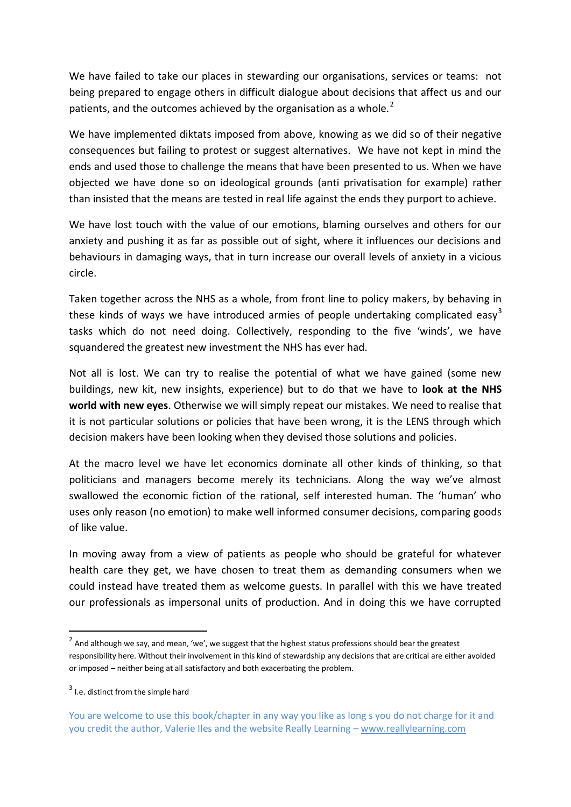We have failed to take our places in stewarding our organisations, services or teams: not being prepared to engage others in difficult dialogue about decisions that affect us and our patients, and the outcomes achieved by the organisation as a whole. $<sup>2</sup>$ </sup>

We have implemented diktats imposed from above, knowing as we did so of their negative consequences but failing to protest or suggest alternatives. We have not kept in mind the ends and used those to challenge the means that have been presented to us. When we have objected we have done so on ideological grounds (anti privatisation for example) rather than insisted that the means are tested in real life against the ends they purport to achieve.

We have lost touch with the value of our emotions, blaming ourselves and others for our anxiety and pushing it as far as possible out of sight, where it influences our decisions and behaviours in damaging ways, that in turn increase our overall levels of anxiety in a vicious circle.

Taken together across the NHS as a whole, from front line to policy makers, by behaving in these kinds of ways we have introduced armies of people undertaking complicated easy<sup>3</sup> tasks which do not need doing. Collectively, responding to the five 'winds', we have squandered the greatest new investment the NHS has ever had.

Not all is lost. We can try to realise the potential of what we have gained (some new buildings, new kit, new insights, experience) but to do that we have to **look at the NHS world with new eyes**. Otherwise we will simply repeat our mistakes. We need to realise that it is not particular solutions or policies that have been wrong, it is the LENS through which decision makers have been looking when they devised those solutions and policies.

At the macro level we have let economics dominate all other kinds of thinking, so that politicians and managers become merely its technicians. Along the way we've almost swallowed the economic fiction of the rational, self interested human. The 'human' who uses only reason (no emotion) to make well informed consumer decisions, comparing goods of like value.

In moving away from a view of patients as people who should be grateful for whatever health care they get, we have chosen to treat them as demanding consumers when we could instead have treated them as welcome guests. In parallel with this we have treated our professionals as impersonal units of production. And in doing this we have corrupted

 $^2$  And although we say, and mean, 'we', we suggest that the highest status professions should bear the greatest responsibility here. Without their involvement in this kind of stewardship any decisions that are critical are either avoided or imposed – neither being at all satisfactory and both exacerbating the problem.

<sup>&</sup>lt;sup>3</sup> I.e. distinct from the simple hard

You are welcome to use this book/chapter in any way you like as long s you do not charge for it and you credit the author, Valerie Iles and the website Really Learning – www.reallylearning.com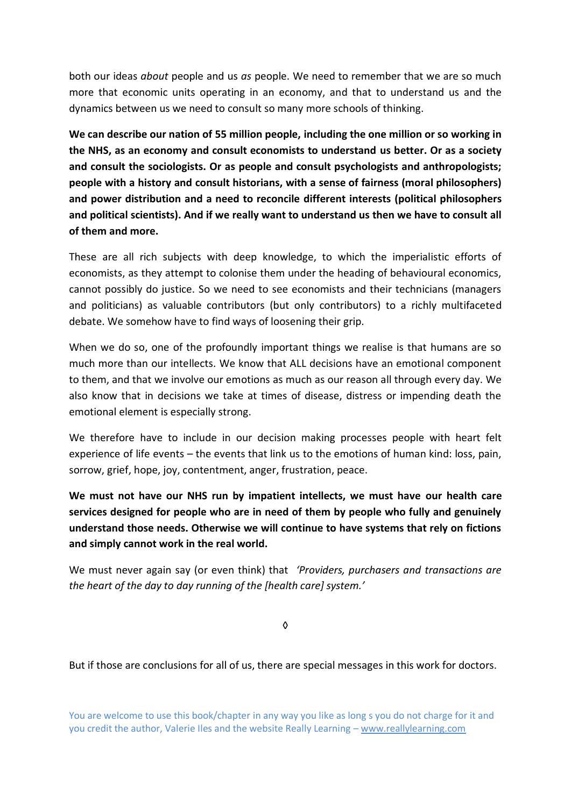both our ideas *about* people and us *as* people. We need to remember that we are so much more that economic units operating in an economy, and that to understand us and the dynamics between us we need to consult so many more schools of thinking.

**We can describe our nation of 55 million people, including the one million or so working in the NHS, as an economy and consult economists to understand us better. Or as a society and consult the sociologists. Or as people and consult psychologists and anthropologists; people with a history and consult historians, with a sense of fairness (moral philosophers) and power distribution and a need to reconcile different interests (political philosophers and political scientists). And if we really want to understand us then we have to consult all of them and more.** 

These are all rich subjects with deep knowledge, to which the imperialistic efforts of economists, as they attempt to colonise them under the heading of behavioural economics, cannot possibly do justice. So we need to see economists and their technicians (managers and politicians) as valuable contributors (but only contributors) to a richly multifaceted debate. We somehow have to find ways of loosening their grip.

When we do so, one of the profoundly important things we realise is that humans are so much more than our intellects. We know that ALL decisions have an emotional component to them, and that we involve our emotions as much as our reason all through every day. We also know that in decisions we take at times of disease, distress or impending death the emotional element is especially strong.

We therefore have to include in our decision making processes people with heart felt experience of life events – the events that link us to the emotions of human kind: loss, pain, sorrow, grief, hope, joy, contentment, anger, frustration, peace.

**We must not have our NHS run by impatient intellects, we must have our health care services designed for people who are in need of them by people who fully and genuinely understand those needs. Otherwise we will continue to have systems that rely on fictions and simply cannot work in the real world.** 

We must never again say (or even think) that *'Providers, purchasers and transactions are the heart of the day to day running of the [health care] system.'*

◊

But if those are conclusions for all of us, there are special messages in this work for doctors.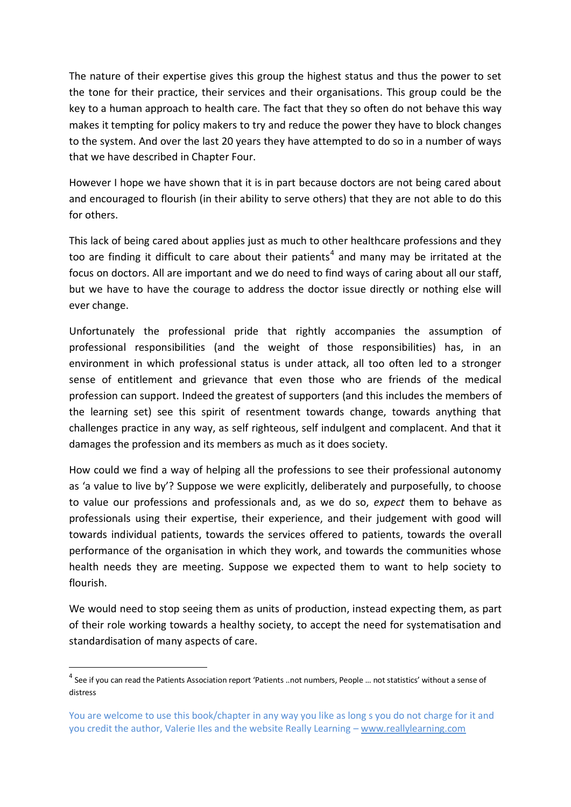The nature of their expertise gives this group the highest status and thus the power to set the tone for their practice, their services and their organisations. This group could be the key to a human approach to health care. The fact that they so often do not behave this way makes it tempting for policy makers to try and reduce the power they have to block changes to the system. And over the last 20 years they have attempted to do so in a number of ways that we have described in Chapter Four.

However I hope we have shown that it is in part because doctors are not being cared about and encouraged to flourish (in their ability to serve others) that they are not able to do this for others.

This lack of being cared about applies just as much to other healthcare professions and they too are finding it difficult to care about their patients<sup>4</sup> and many may be irritated at the focus on doctors. All are important and we do need to find ways of caring about all our staff, but we have to have the courage to address the doctor issue directly or nothing else will ever change.

Unfortunately the professional pride that rightly accompanies the assumption of professional responsibilities (and the weight of those responsibilities) has, in an environment in which professional status is under attack, all too often led to a stronger sense of entitlement and grievance that even those who are friends of the medical profession can support. Indeed the greatest of supporters (and this includes the members of the learning set) see this spirit of resentment towards change, towards anything that challenges practice in any way, as self righteous, self indulgent and complacent. And that it damages the profession and its members as much as it does society.

How could we find a way of helping all the professions to see their professional autonomy as 'a value to live by'? Suppose we were explicitly, deliberately and purposefully, to choose to value our professions and professionals and, as we do so, *expect* them to behave as professionals using their expertise, their experience, and their judgement with good will towards individual patients, towards the services offered to patients, towards the overall performance of the organisation in which they work, and towards the communities whose health needs they are meeting. Suppose we expected them to want to help society to flourish.

We would need to stop seeing them as units of production, instead expecting them, as part of their role working towards a healthy society, to accept the need for systematisation and standardisation of many aspects of care.

<sup>&</sup>lt;sup>4</sup> See if you can read the Patients Association report 'Patients ..not numbers, People ... not statistics' without a sense of distress

You are welcome to use this book/chapter in any way you like as long s you do not charge for it and you credit the author, Valerie Iles and the website Really Learning – www.reallylearning.com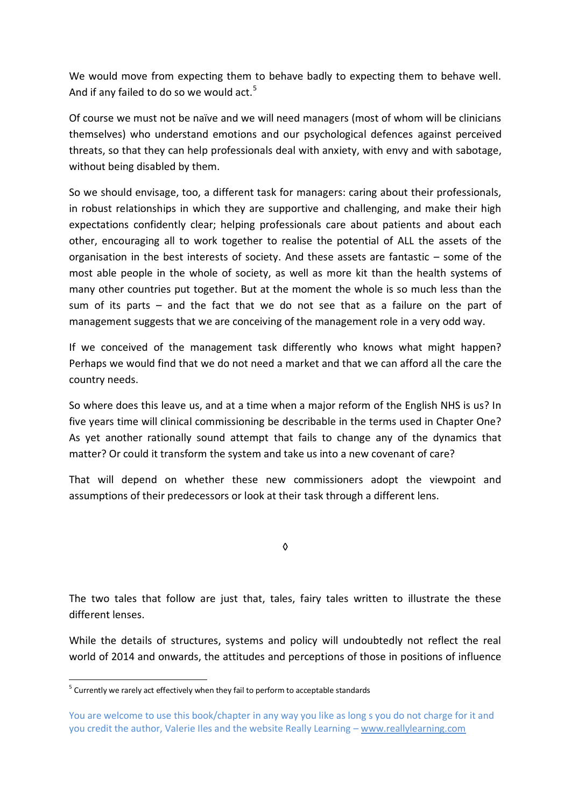We would move from expecting them to behave badly to expecting them to behave well. And if any failed to do so we would act.<sup>5</sup>

Of course we must not be naïve and we will need managers (most of whom will be clinicians themselves) who understand emotions and our psychological defences against perceived threats, so that they can help professionals deal with anxiety, with envy and with sabotage, without being disabled by them.

So we should envisage, too, a different task for managers: caring about their professionals, in robust relationships in which they are supportive and challenging, and make their high expectations confidently clear; helping professionals care about patients and about each other, encouraging all to work together to realise the potential of ALL the assets of the organisation in the best interests of society. And these assets are fantastic – some of the most able people in the whole of society, as well as more kit than the health systems of many other countries put together. But at the moment the whole is so much less than the sum of its parts – and the fact that we do not see that as a failure on the part of management suggests that we are conceiving of the management role in a very odd way.

If we conceived of the management task differently who knows what might happen? Perhaps we would find that we do not need a market and that we can afford all the care the country needs.

So where does this leave us, and at a time when a major reform of the English NHS is us? In five years time will clinical commissioning be describable in the terms used in Chapter One? As yet another rationally sound attempt that fails to change any of the dynamics that matter? Or could it transform the system and take us into a new covenant of care?

That will depend on whether these new commissioners adopt the viewpoint and assumptions of their predecessors or look at their task through a different lens.

◊

The two tales that follow are just that, tales, fairy tales written to illustrate the these different lenses.

While the details of structures, systems and policy will undoubtedly not reflect the real world of 2014 and onwards, the attitudes and perceptions of those in positions of influence

 $5$  Currently we rarely act effectively when they fail to perform to acceptable standards

You are welcome to use this book/chapter in any way you like as long s you do not charge for it and you credit the author, Valerie Iles and the website Really Learning – www.reallylearning.com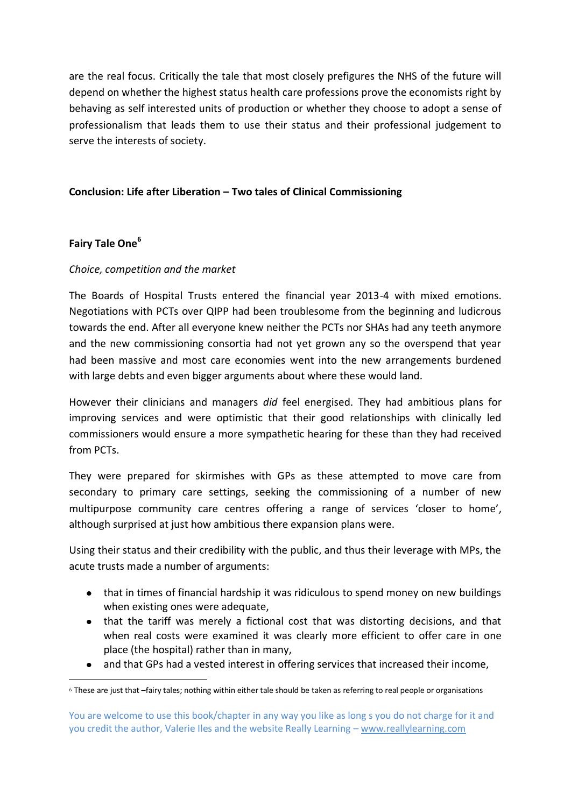are the real focus. Critically the tale that most closely prefigures the NHS of the future will depend on whether the highest status health care professions prove the economists right by behaving as self interested units of production or whether they choose to adopt a sense of professionalism that leads them to use their status and their professional judgement to serve the interests of society.

### **Conclusion: Life after Liberation – Two tales of Clinical Commissioning**

#### **Fairy Tale One<sup>6</sup>**

-

#### *Choice, competition and the market*

The Boards of Hospital Trusts entered the financial year 2013-4 with mixed emotions. Negotiations with PCTs over QIPP had been troublesome from the beginning and ludicrous towards the end. After all everyone knew neither the PCTs nor SHAs had any teeth anymore and the new commissioning consortia had not yet grown any so the overspend that year had been massive and most care economies went into the new arrangements burdened with large debts and even bigger arguments about where these would land.

However their clinicians and managers *did* feel energised. They had ambitious plans for improving services and were optimistic that their good relationships with clinically led commissioners would ensure a more sympathetic hearing for these than they had received from PCTs.

They were prepared for skirmishes with GPs as these attempted to move care from secondary to primary care settings, seeking the commissioning of a number of new multipurpose community care centres offering a range of services 'closer to home', although surprised at just how ambitious there expansion plans were.

Using their status and their credibility with the public, and thus their leverage with MPs, the acute trusts made a number of arguments:

- that in times of financial hardship it was ridiculous to spend money on new buildings when existing ones were adequate,
- that the tariff was merely a fictional cost that was distorting decisions, and that when real costs were examined it was clearly more efficient to offer care in one place (the hospital) rather than in many,
- and that GPs had a vested interest in offering services that increased their income,  $\bullet$

<sup>6</sup> These are just that –fairy tales; nothing within either tale should be taken as referring to real people or organisations

You are welcome to use this book/chapter in any way you like as long s you do not charge for it and you credit the author, Valerie Iles and the website Really Learning – www.reallylearning.com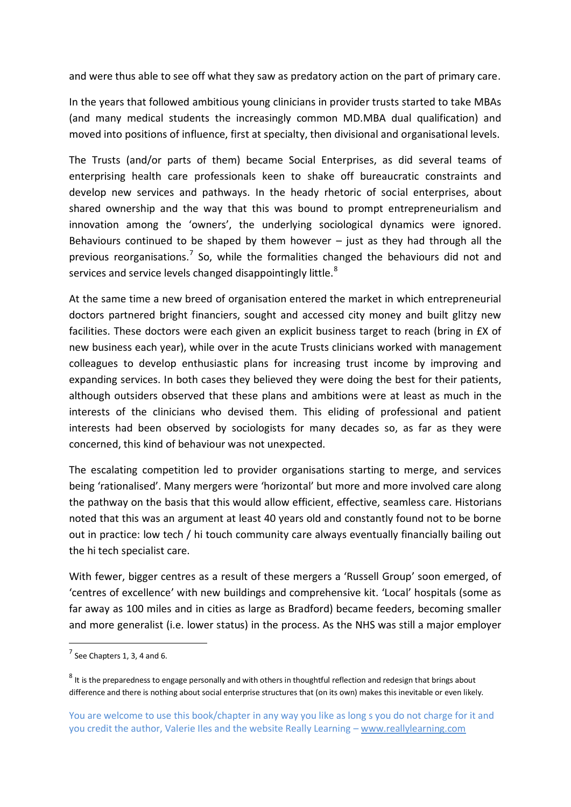and were thus able to see off what they saw as predatory action on the part of primary care.

In the years that followed ambitious young clinicians in provider trusts started to take MBAs (and many medical students the increasingly common MD.MBA dual qualification) and moved into positions of influence, first at specialty, then divisional and organisational levels.

The Trusts (and/or parts of them) became Social Enterprises, as did several teams of enterprising health care professionals keen to shake off bureaucratic constraints and develop new services and pathways. In the heady rhetoric of social enterprises, about shared ownership and the way that this was bound to prompt entrepreneurialism and innovation among the 'owners', the underlying sociological dynamics were ignored. Behaviours continued to be shaped by them however  $-$  just as they had through all the previous reorganisations.<sup>7</sup> So, while the formalities changed the behaviours did not and services and service levels changed disappointingly little.<sup>8</sup>

At the same time a new breed of organisation entered the market in which entrepreneurial doctors partnered bright financiers, sought and accessed city money and built glitzy new facilities. These doctors were each given an explicit business target to reach (bring in £X of new business each year), while over in the acute Trusts clinicians worked with management colleagues to develop enthusiastic plans for increasing trust income by improving and expanding services. In both cases they believed they were doing the best for their patients, although outsiders observed that these plans and ambitions were at least as much in the interests of the clinicians who devised them. This eliding of professional and patient interests had been observed by sociologists for many decades so, as far as they were concerned, this kind of behaviour was not unexpected.

The escalating competition led to provider organisations starting to merge, and services being 'rationalised'. Many mergers were 'horizontal' but more and more involved care along the pathway on the basis that this would allow efficient, effective, seamless care. Historians noted that this was an argument at least 40 years old and constantly found not to be borne out in practice: low tech / hi touch community care always eventually financially bailing out the hi tech specialist care.

With fewer, bigger centres as a result of these mergers a 'Russell Group' soon emerged, of 'centres of excellence' with new buildings and comprehensive kit. 'Local' hospitals (some as far away as 100 miles and in cities as large as Bradford) became feeders, becoming smaller and more generalist (i.e. lower status) in the process. As the NHS was still a major employer

 $^7$  See Chapters 1, 3, 4 and 6.

 $^8$  It is the preparedness to engage personally and with others in thoughtful reflection and redesign that brings about difference and there is nothing about social enterprise structures that (on its own) makes this inevitable or even likely.

You are welcome to use this book/chapter in any way you like as long s you do not charge for it and you credit the author, Valerie Iles and the website Really Learning – www.reallylearning.com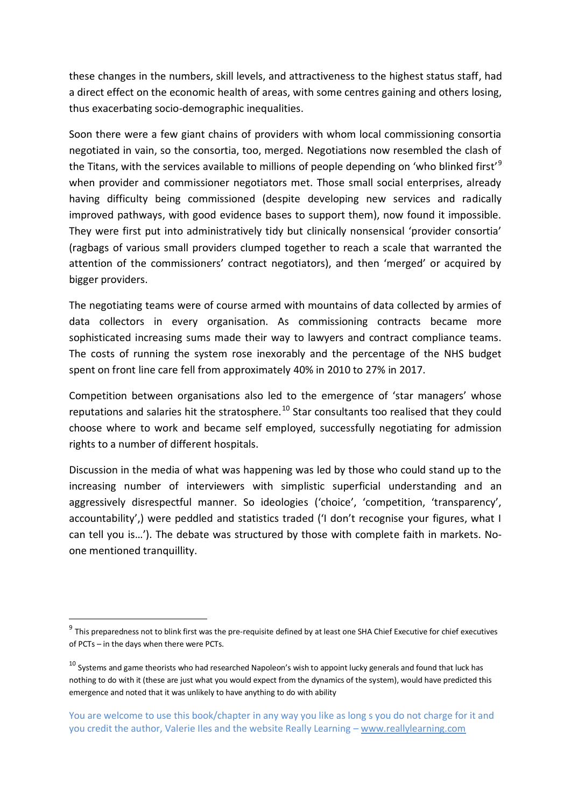these changes in the numbers, skill levels, and attractiveness to the highest status staff, had a direct effect on the economic health of areas, with some centres gaining and others losing, thus exacerbating socio-demographic inequalities.

Soon there were a few giant chains of providers with whom local commissioning consortia negotiated in vain, so the consortia, too, merged. Negotiations now resembled the clash of the Titans, with the services available to millions of people depending on 'who blinked first'<sup>9</sup> when provider and commissioner negotiators met. Those small social enterprises, already having difficulty being commissioned (despite developing new services and radically improved pathways, with good evidence bases to support them), now found it impossible. They were first put into administratively tidy but clinically nonsensical 'provider consortia' (ragbags of various small providers clumped together to reach a scale that warranted the attention of the commissioners' contract negotiators), and then 'merged' or acquired by bigger providers.

The negotiating teams were of course armed with mountains of data collected by armies of data collectors in every organisation. As commissioning contracts became more sophisticated increasing sums made their way to lawyers and contract compliance teams. The costs of running the system rose inexorably and the percentage of the NHS budget spent on front line care fell from approximately 40% in 2010 to 27% in 2017.

Competition between organisations also led to the emergence of 'star managers' whose reputations and salaries hit the stratosphere.<sup>10</sup> Star consultants too realised that they could choose where to work and became self employed, successfully negotiating for admission rights to a number of different hospitals.

Discussion in the media of what was happening was led by those who could stand up to the increasing number of interviewers with simplistic superficial understanding and an aggressively disrespectful manner. So ideologies ('choice', 'competition, 'transparency', accountability',) were peddled and statistics traded ('I don't recognise your figures, what I can tell you is…'). The debate was structured by those with complete faith in markets. Noone mentioned tranquillity.

1

 $9$  This preparedness not to blink first was the pre-requisite defined by at least one SHA Chief Executive for chief executives of PCTs – in the days when there were PCTs.

 $10$  Systems and game theorists who had researched Napoleon's wish to appoint lucky generals and found that luck has nothing to do with it (these are just what you would expect from the dynamics of the system), would have predicted this emergence and noted that it was unlikely to have anything to do with ability

You are welcome to use this book/chapter in any way you like as long s you do not charge for it and you credit the author, Valerie Iles and the website Really Learning – www.reallylearning.com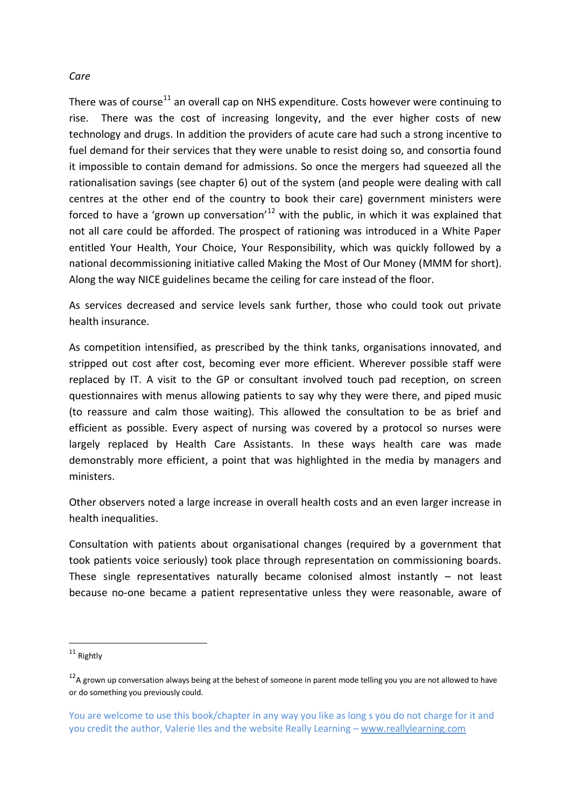#### *Care*

There was of course<sup>11</sup> an overall cap on NHS expenditure. Costs however were continuing to rise. There was the cost of increasing longevity, and the ever higher costs of new technology and drugs. In addition the providers of acute care had such a strong incentive to fuel demand for their services that they were unable to resist doing so, and consortia found it impossible to contain demand for admissions. So once the mergers had squeezed all the rationalisation savings (see chapter 6) out of the system (and people were dealing with call centres at the other end of the country to book their care) government ministers were forced to have a 'grown up conversation'<sup>12</sup> with the public, in which it was explained that not all care could be afforded. The prospect of rationing was introduced in a White Paper entitled Your Health, Your Choice, Your Responsibility, which was quickly followed by a national decommissioning initiative called Making the Most of Our Money (MMM for short). Along the way NICE guidelines became the ceiling for care instead of the floor.

As services decreased and service levels sank further, those who could took out private health insurance.

As competition intensified, as prescribed by the think tanks, organisations innovated, and stripped out cost after cost, becoming ever more efficient. Wherever possible staff were replaced by IT. A visit to the GP or consultant involved touch pad reception, on screen questionnaires with menus allowing patients to say why they were there, and piped music (to reassure and calm those waiting). This allowed the consultation to be as brief and efficient as possible. Every aspect of nursing was covered by a protocol so nurses were largely replaced by Health Care Assistants. In these ways health care was made demonstrably more efficient, a point that was highlighted in the media by managers and ministers.

Other observers noted a large increase in overall health costs and an even larger increase in health inequalities.

Consultation with patients about organisational changes (required by a government that took patients voice seriously) took place through representation on commissioning boards. These single representatives naturally became colonised almost instantly – not least because no-one became a patient representative unless they were reasonable, aware of

<sup>11</sup> Rightly

 $12$ A grown up conversation always being at the behest of someone in parent mode telling you you are not allowed to have or do something you previously could.

You are welcome to use this book/chapter in any way you like as long s you do not charge for it and you credit the author, Valerie Iles and the website Really Learning – www.reallylearning.com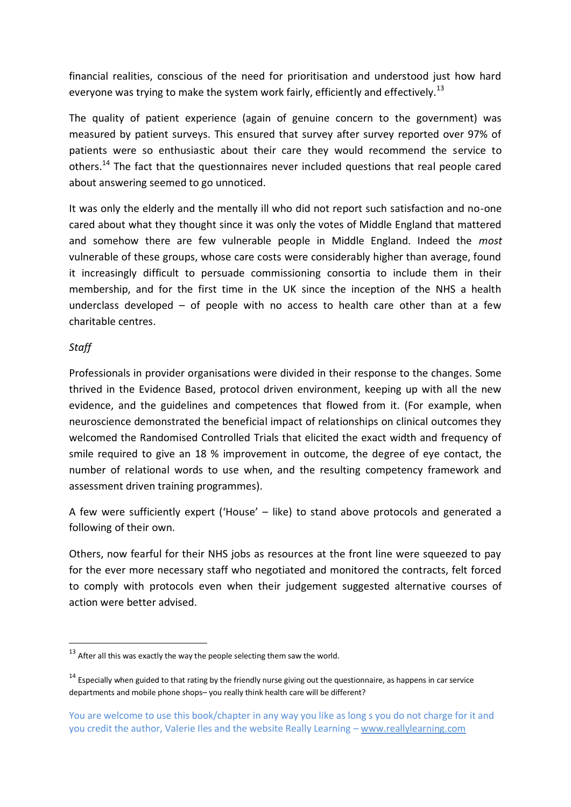financial realities, conscious of the need for prioritisation and understood just how hard everyone was trying to make the system work fairly, efficiently and effectively.<sup>13</sup>

The quality of patient experience (again of genuine concern to the government) was measured by patient surveys. This ensured that survey after survey reported over 97% of patients were so enthusiastic about their care they would recommend the service to others.<sup>14</sup> The fact that the questionnaires never included questions that real people cared about answering seemed to go unnoticed.

It was only the elderly and the mentally ill who did not report such satisfaction and no-one cared about what they thought since it was only the votes of Middle England that mattered and somehow there are few vulnerable people in Middle England. Indeed the *most* vulnerable of these groups, whose care costs were considerably higher than average, found it increasingly difficult to persuade commissioning consortia to include them in their membership, and for the first time in the UK since the inception of the NHS a health underclass developed – of people with no access to health care other than at a few charitable centres.

#### *Staff*

-

Professionals in provider organisations were divided in their response to the changes. Some thrived in the Evidence Based, protocol driven environment, keeping up with all the new evidence, and the guidelines and competences that flowed from it. (For example, when neuroscience demonstrated the beneficial impact of relationships on clinical outcomes they welcomed the Randomised Controlled Trials that elicited the exact width and frequency of smile required to give an 18 % improvement in outcome, the degree of eye contact, the number of relational words to use when, and the resulting competency framework and assessment driven training programmes).

A few were sufficiently expert ('House' – like) to stand above protocols and generated a following of their own.

Others, now fearful for their NHS jobs as resources at the front line were squeezed to pay for the ever more necessary staff who negotiated and monitored the contracts, felt forced to comply with protocols even when their judgement suggested alternative courses of action were better advised.

 $13$  After all this was exactly the way the people selecting them saw the world.

 $14$  Especially when guided to that rating by the friendly nurse giving out the questionnaire, as happens in car service departments and mobile phone shops– you really think health care will be different?

You are welcome to use this book/chapter in any way you like as long s you do not charge for it and you credit the author, Valerie Iles and the website Really Learning – www.reallylearning.com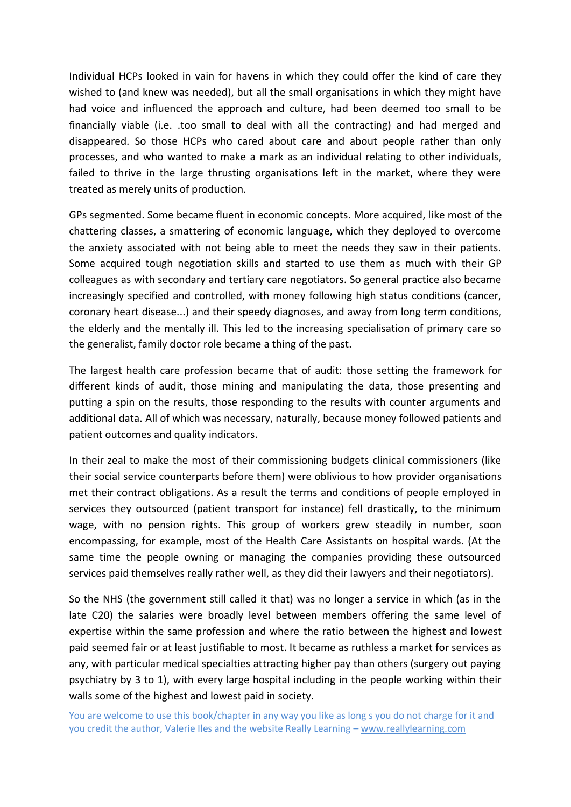Individual HCPs looked in vain for havens in which they could offer the kind of care they wished to (and knew was needed), but all the small organisations in which they might have had voice and influenced the approach and culture, had been deemed too small to be financially viable (i.e. .too small to deal with all the contracting) and had merged and disappeared. So those HCPs who cared about care and about people rather than only processes, and who wanted to make a mark as an individual relating to other individuals, failed to thrive in the large thrusting organisations left in the market, where they were treated as merely units of production.

GPs segmented. Some became fluent in economic concepts. More acquired, like most of the chattering classes, a smattering of economic language, which they deployed to overcome the anxiety associated with not being able to meet the needs they saw in their patients. Some acquired tough negotiation skills and started to use them as much with their GP colleagues as with secondary and tertiary care negotiators. So general practice also became increasingly specified and controlled, with money following high status conditions (cancer, coronary heart disease...) and their speedy diagnoses, and away from long term conditions, the elderly and the mentally ill. This led to the increasing specialisation of primary care so the generalist, family doctor role became a thing of the past.

The largest health care profession became that of audit: those setting the framework for different kinds of audit, those mining and manipulating the data, those presenting and putting a spin on the results, those responding to the results with counter arguments and additional data. All of which was necessary, naturally, because money followed patients and patient outcomes and quality indicators.

In their zeal to make the most of their commissioning budgets clinical commissioners (like their social service counterparts before them) were oblivious to how provider organisations met their contract obligations. As a result the terms and conditions of people employed in services they outsourced (patient transport for instance) fell drastically, to the minimum wage, with no pension rights. This group of workers grew steadily in number, soon encompassing, for example, most of the Health Care Assistants on hospital wards. (At the same time the people owning or managing the companies providing these outsourced services paid themselves really rather well, as they did their lawyers and their negotiators).

So the NHS (the government still called it that) was no longer a service in which (as in the late C20) the salaries were broadly level between members offering the same level of expertise within the same profession and where the ratio between the highest and lowest paid seemed fair or at least justifiable to most. It became as ruthless a market for services as any, with particular medical specialties attracting higher pay than others (surgery out paying psychiatry by 3 to 1), with every large hospital including in the people working within their walls some of the highest and lowest paid in society.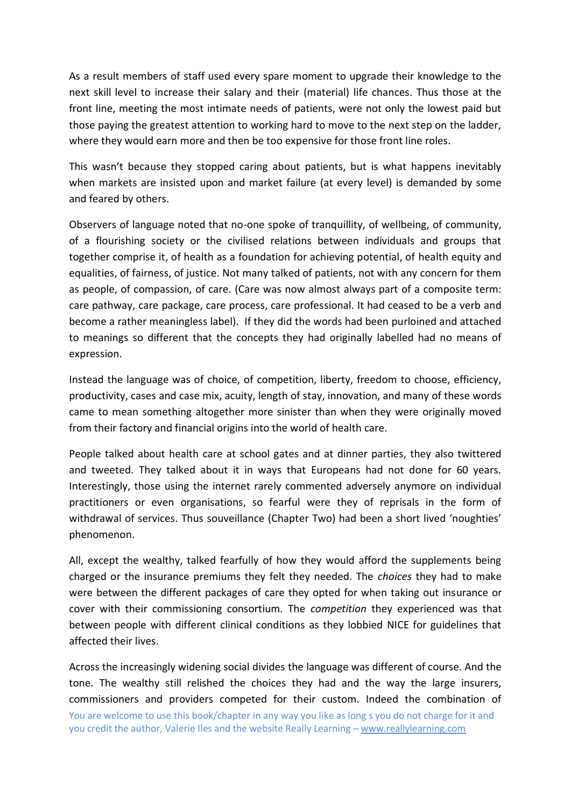As a result members of staff used every spare moment to upgrade their knowledge to the next skill level to increase their salary and their (material) life chances. Thus those at the front line, meeting the most intimate needs of patients, were not only the lowest paid but those paying the greatest attention to working hard to move to the next step on the ladder, where they would earn more and then be too expensive for those front line roles.

This wasn't because they stopped caring about patients, but is what happens inevitably when markets are insisted upon and market failure (at every level) is demanded by some and feared by others.

Observers of language noted that no-one spoke of tranquillity, of wellbeing, of community, of a flourishing society or the civilised relations between individuals and groups that together comprise it, of health as a foundation for achieving potential, of health equity and equalities, of fairness, of justice. Not many talked of patients, not with any concern for them as people, of compassion, of care. (Care was now almost always part of a composite term: care pathway, care package, care process, care professional. It had ceased to be a verb and become a rather meaningless label). If they did the words had been purloined and attached to meanings so different that the concepts they had originally labelled had no means of expression.

Instead the language was of choice, of competition, liberty, freedom to choose, efficiency, productivity, cases and case mix, acuity, length of stay, innovation, and many of these words came to mean something altogether more sinister than when they were originally moved from their factory and financial origins into the world of health care.

People talked about health care at school gates and at dinner parties, they also twittered and tweeted. They talked about it in ways that Europeans had not done for 60 years. Interestingly, those using the internet rarely commented adversely anymore on individual practitioners or even organisations, so fearful were they of reprisals in the form of withdrawal of services. Thus souveillance (Chapter Two) had been a short lived 'noughties' phenomenon.

All, except the wealthy, talked fearfully of how they would afford the supplements being charged or the insurance premiums they felt they needed. The *choices* they had to make were between the different packages of care they opted for when taking out insurance or cover with their commissioning consortium. The *competition* they experienced was that between people with different clinical conditions as they lobbied NICE for guidelines that affected their lives.

You are welcome to use this book/chapter in any way you like as long s you do not charge for it and you credit the author, Valerie Iles and the website Really Learning – www.reallylearning.com Across the increasingly widening social divides the language was different of course. And the tone. The wealthy still relished the choices they had and the way the large insurers, commissioners and providers competed for their custom. Indeed the combination of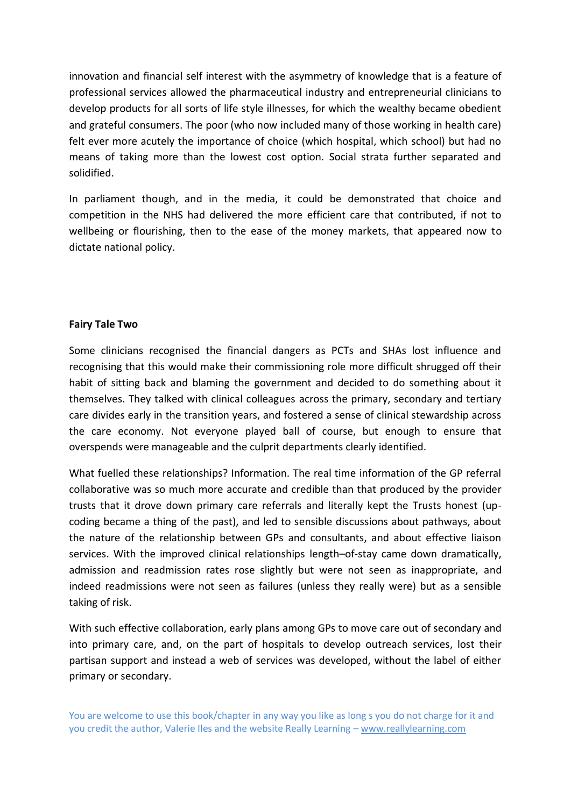innovation and financial self interest with the asymmetry of knowledge that is a feature of professional services allowed the pharmaceutical industry and entrepreneurial clinicians to develop products for all sorts of life style illnesses, for which the wealthy became obedient and grateful consumers. The poor (who now included many of those working in health care) felt ever more acutely the importance of choice (which hospital, which school) but had no means of taking more than the lowest cost option. Social strata further separated and solidified.

In parliament though, and in the media, it could be demonstrated that choice and competition in the NHS had delivered the more efficient care that contributed, if not to wellbeing or flourishing, then to the ease of the money markets, that appeared now to dictate national policy.

#### **Fairy Tale Two**

Some clinicians recognised the financial dangers as PCTs and SHAs lost influence and recognising that this would make their commissioning role more difficult shrugged off their habit of sitting back and blaming the government and decided to do something about it themselves. They talked with clinical colleagues across the primary, secondary and tertiary care divides early in the transition years, and fostered a sense of clinical stewardship across the care economy. Not everyone played ball of course, but enough to ensure that overspends were manageable and the culprit departments clearly identified.

What fuelled these relationships? Information. The real time information of the GP referral collaborative was so much more accurate and credible than that produced by the provider trusts that it drove down primary care referrals and literally kept the Trusts honest (upcoding became a thing of the past), and led to sensible discussions about pathways, about the nature of the relationship between GPs and consultants, and about effective liaison services. With the improved clinical relationships length–of-stay came down dramatically, admission and readmission rates rose slightly but were not seen as inappropriate, and indeed readmissions were not seen as failures (unless they really were) but as a sensible taking of risk.

With such effective collaboration, early plans among GPs to move care out of secondary and into primary care, and, on the part of hospitals to develop outreach services, lost their partisan support and instead a web of services was developed, without the label of either primary or secondary.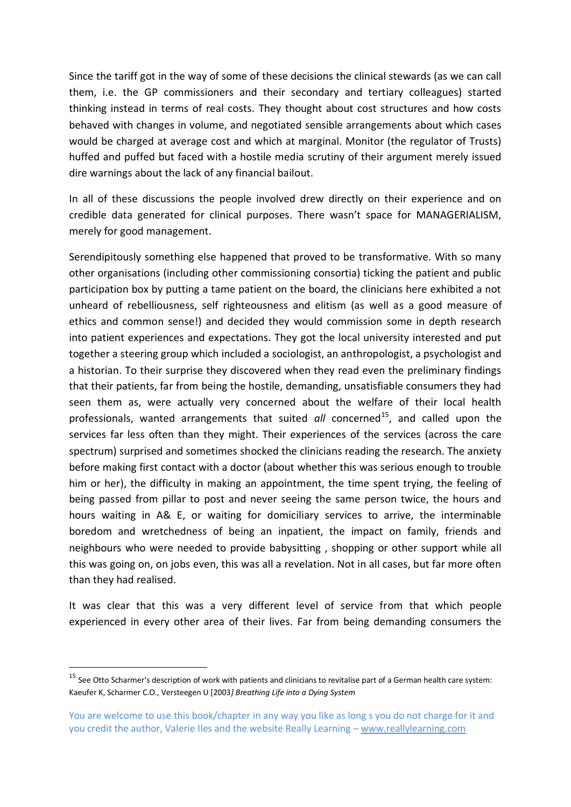Since the tariff got in the way of some of these decisions the clinical stewards (as we can call them, i.e. the GP commissioners and their secondary and tertiary colleagues) started thinking instead in terms of real costs. They thought about cost structures and how costs behaved with changes in volume, and negotiated sensible arrangements about which cases would be charged at average cost and which at marginal. Monitor (the regulator of Trusts) huffed and puffed but faced with a hostile media scrutiny of their argument merely issued dire warnings about the lack of any financial bailout.

In all of these discussions the people involved drew directly on their experience and on credible data generated for clinical purposes. There wasn't space for MANAGERIALISM, merely for good management.

Serendipitously something else happened that proved to be transformative. With so many other organisations (including other commissioning consortia) ticking the patient and public participation box by putting a tame patient on the board, the clinicians here exhibited a not unheard of rebelliousness, self righteousness and elitism (as well as a good measure of ethics and common sense!) and decided they would commission some in depth research into patient experiences and expectations. They got the local university interested and put together a steering group which included a sociologist, an anthropologist, a psychologist and a historian. To their surprise they discovered when they read even the preliminary findings that their patients, far from being the hostile, demanding, unsatisfiable consumers they had seen them as, were actually very concerned about the welfare of their local health professionals, wanted arrangements that suited *all* concerned<sup>15</sup>, and called upon the services far less often than they might. Their experiences of the services (across the care spectrum) surprised and sometimes shocked the clinicians reading the research. The anxiety before making first contact with a doctor (about whether this was serious enough to trouble him or her), the difficulty in making an appointment, the time spent trying, the feeling of being passed from pillar to post and never seeing the same person twice, the hours and hours waiting in A& E, or waiting for domiciliary services to arrive, the interminable boredom and wretchedness of being an inpatient, the impact on family, friends and neighbours who were needed to provide babysitting , shopping or other support while all this was going on, on jobs even, this was all a revelation. Not in all cases, but far more often than they had realised.

It was clear that this was a very different level of service from that which people experienced in every other area of their lives. Far from being demanding consumers the

 $15$  See Otto Scharmer's description of work with patients and clinicians to revitalise part of a German health care system: Kaeufer K, Scharmer C.O., Versteegen U [2003*] Breathing Life into a Dying System*

You are welcome to use this book/chapter in any way you like as long s you do not charge for it and you credit the author, Valerie Iles and the website Really Learning – www.reallylearning.com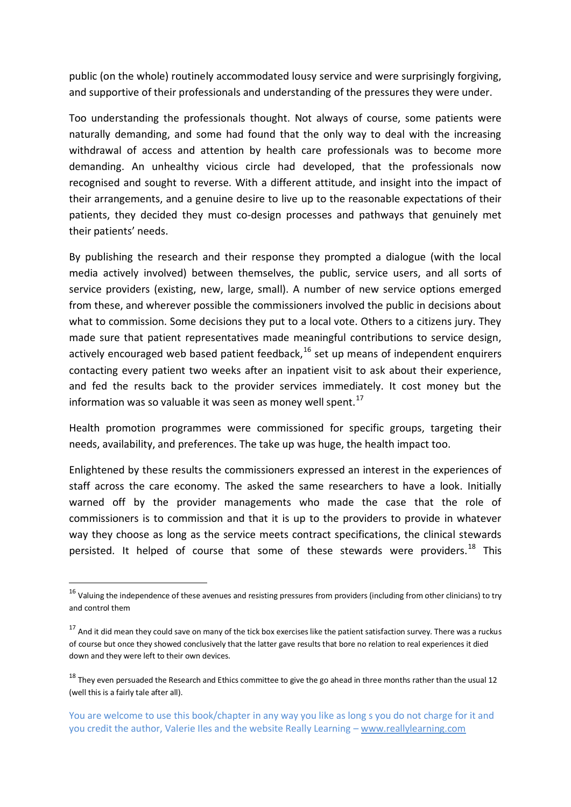public (on the whole) routinely accommodated lousy service and were surprisingly forgiving, and supportive of their professionals and understanding of the pressures they were under.

Too understanding the professionals thought. Not always of course, some patients were naturally demanding, and some had found that the only way to deal with the increasing withdrawal of access and attention by health care professionals was to become more demanding. An unhealthy vicious circle had developed, that the professionals now recognised and sought to reverse. With a different attitude, and insight into the impact of their arrangements, and a genuine desire to live up to the reasonable expectations of their patients, they decided they must co-design processes and pathways that genuinely met their patients' needs.

By publishing the research and their response they prompted a dialogue (with the local media actively involved) between themselves, the public, service users, and all sorts of service providers (existing, new, large, small). A number of new service options emerged from these, and wherever possible the commissioners involved the public in decisions about what to commission. Some decisions they put to a local vote. Others to a citizens jury. They made sure that patient representatives made meaningful contributions to service design, actively encouraged web based patient feedback, $16$  set up means of independent enquirers contacting every patient two weeks after an inpatient visit to ask about their experience, and fed the results back to the provider services immediately. It cost money but the information was so valuable it was seen as money well spent. $^{17}$ 

Health promotion programmes were commissioned for specific groups, targeting their needs, availability, and preferences. The take up was huge, the health impact too.

Enlightened by these results the commissioners expressed an interest in the experiences of staff across the care economy. The asked the same researchers to have a look. Initially warned off by the provider managements who made the case that the role of commissioners is to commission and that it is up to the providers to provide in whatever way they choose as long as the service meets contract specifications, the clinical stewards persisted. It helped of course that some of these stewards were providers.<sup>18</sup> This

 $16$  Valuing the independence of these avenues and resisting pressures from providers (including from other clinicians) to try and control them

 $17$  And it did mean they could save on many of the tick box exercises like the patient satisfaction survey. There was a ruckus of course but once they showed conclusively that the latter gave results that bore no relation to real experiences it died down and they were left to their own devices.

 $18$  They even persuaded the Research and Ethics committee to give the go ahead in three months rather than the usual 12 (well this is a fairly tale after all).

You are welcome to use this book/chapter in any way you like as long s you do not charge for it and you credit the author, Valerie Iles and the website Really Learning – www.reallylearning.com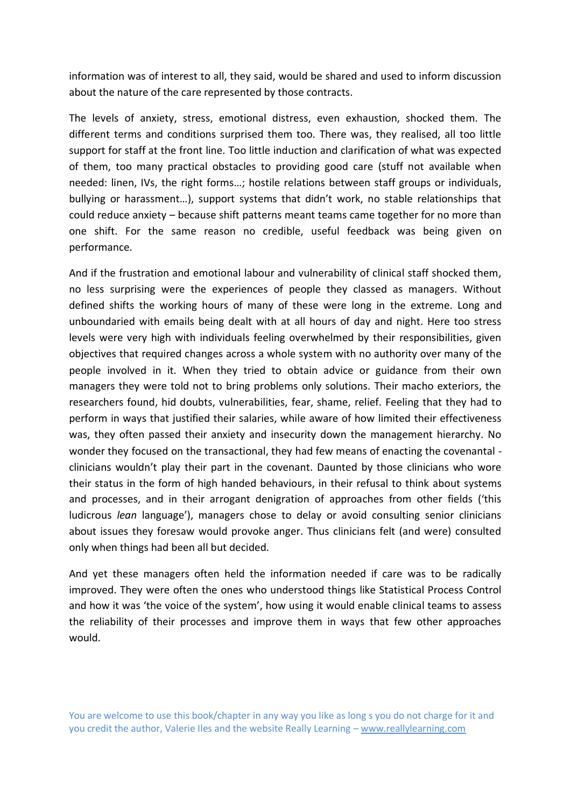information was of interest to all, they said, would be shared and used to inform discussion about the nature of the care represented by those contracts.

The levels of anxiety, stress, emotional distress, even exhaustion, shocked them. The different terms and conditions surprised them too. There was, they realised, all too little support for staff at the front line. Too little induction and clarification of what was expected of them, too many practical obstacles to providing good care (stuff not available when needed: linen, IVs, the right forms…; hostile relations between staff groups or individuals, bullying or harassment…), support systems that didn't work, no stable relationships that could reduce anxiety – because shift patterns meant teams came together for no more than one shift. For the same reason no credible, useful feedback was being given on performance.

And if the frustration and emotional labour and vulnerability of clinical staff shocked them, no less surprising were the experiences of people they classed as managers. Without defined shifts the working hours of many of these were long in the extreme. Long and unboundaried with emails being dealt with at all hours of day and night. Here too stress levels were very high with individuals feeling overwhelmed by their responsibilities, given objectives that required changes across a whole system with no authority over many of the people involved in it. When they tried to obtain advice or guidance from their own managers they were told not to bring problems only solutions. Their macho exteriors, the researchers found, hid doubts, vulnerabilities, fear, shame, relief. Feeling that they had to perform in ways that justified their salaries, while aware of how limited their effectiveness was, they often passed their anxiety and insecurity down the management hierarchy. No wonder they focused on the transactional, they had few means of enacting the covenantal clinicians wouldn't play their part in the covenant. Daunted by those clinicians who wore their status in the form of high handed behaviours, in their refusal to think about systems and processes, and in their arrogant denigration of approaches from other fields ('this ludicrous *lean* language'), managers chose to delay or avoid consulting senior clinicians about issues they foresaw would provoke anger. Thus clinicians felt (and were) consulted only when things had been all but decided.

And yet these managers often held the information needed if care was to be radically improved. They were often the ones who understood things like Statistical Process Control and how it was 'the voice of the system', how using it would enable clinical teams to assess the reliability of their processes and improve them in ways that few other approaches would.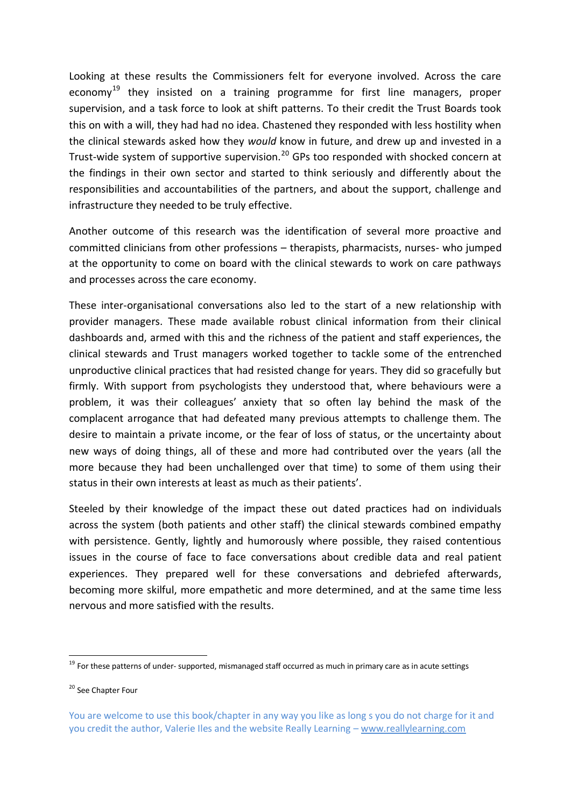Looking at these results the Commissioners felt for everyone involved. Across the care economy<sup>19</sup> they insisted on a training programme for first line managers, proper supervision, and a task force to look at shift patterns. To their credit the Trust Boards took this on with a will, they had had no idea. Chastened they responded with less hostility when the clinical stewards asked how they *would* know in future, and drew up and invested in a Trust-wide system of supportive supervision.<sup>20</sup> GPs too responded with shocked concern at the findings in their own sector and started to think seriously and differently about the responsibilities and accountabilities of the partners, and about the support, challenge and infrastructure they needed to be truly effective.

Another outcome of this research was the identification of several more proactive and committed clinicians from other professions – therapists, pharmacists, nurses- who jumped at the opportunity to come on board with the clinical stewards to work on care pathways and processes across the care economy.

These inter-organisational conversations also led to the start of a new relationship with provider managers. These made available robust clinical information from their clinical dashboards and, armed with this and the richness of the patient and staff experiences, the clinical stewards and Trust managers worked together to tackle some of the entrenched unproductive clinical practices that had resisted change for years. They did so gracefully but firmly. With support from psychologists they understood that, where behaviours were a problem, it was their colleagues' anxiety that so often lay behind the mask of the complacent arrogance that had defeated many previous attempts to challenge them. The desire to maintain a private income, or the fear of loss of status, or the uncertainty about new ways of doing things, all of these and more had contributed over the years (all the more because they had been unchallenged over that time) to some of them using their status in their own interests at least as much as their patients'.

Steeled by their knowledge of the impact these out dated practices had on individuals across the system (both patients and other staff) the clinical stewards combined empathy with persistence. Gently, lightly and humorously where possible, they raised contentious issues in the course of face to face conversations about credible data and real patient experiences. They prepared well for these conversations and debriefed afterwards, becoming more skilful, more empathetic and more determined, and at the same time less nervous and more satisfied with the results.

1

<sup>&</sup>lt;sup>19</sup> For these patterns of under- supported, mismanaged staff occurred as much in primary care as in acute settings

<sup>&</sup>lt;sup>20</sup> See Chapter Four

You are welcome to use this book/chapter in any way you like as long s you do not charge for it and you credit the author, Valerie Iles and the website Really Learning – www.reallylearning.com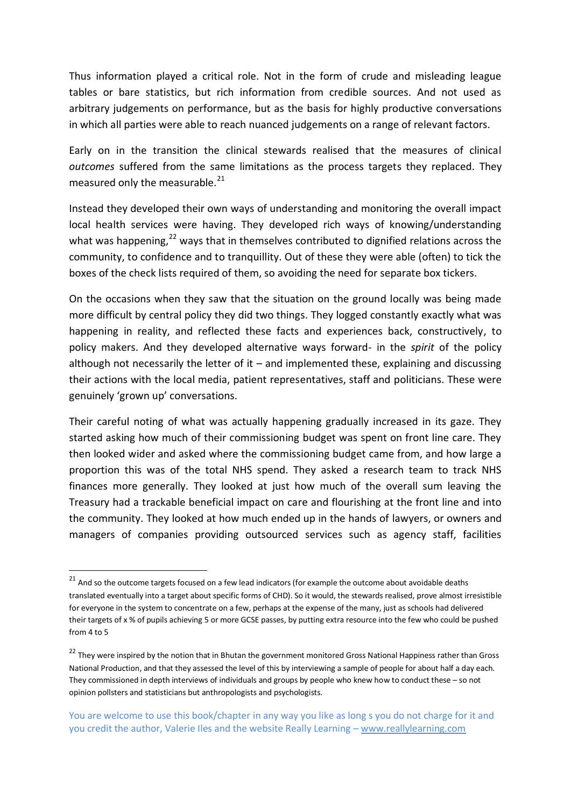Thus information played a critical role. Not in the form of crude and misleading league tables or bare statistics, but rich information from credible sources. And not used as arbitrary judgements on performance, but as the basis for highly productive conversations in which all parties were able to reach nuanced judgements on a range of relevant factors.

Early on in the transition the clinical stewards realised that the measures of clinical *outcomes* suffered from the same limitations as the process targets they replaced. They measured only the measurable. $^{21}$ 

Instead they developed their own ways of understanding and monitoring the overall impact local health services were having. They developed rich ways of knowing/understanding what was happening, $^{22}$  ways that in themselves contributed to dignified relations across the community, to confidence and to tranquillity. Out of these they were able (often) to tick the boxes of the check lists required of them, so avoiding the need for separate box tickers.

On the occasions when they saw that the situation on the ground locally was being made more difficult by central policy they did two things. They logged constantly exactly what was happening in reality, and reflected these facts and experiences back, constructively, to policy makers. And they developed alternative ways forward- in the *spirit* of the policy although not necessarily the letter of it – and implemented these, explaining and discussing their actions with the local media, patient representatives, staff and politicians. These were genuinely 'grown up' conversations.

Their careful noting of what was actually happening gradually increased in its gaze. They started asking how much of their commissioning budget was spent on front line care. They then looked wider and asked where the commissioning budget came from, and how large a proportion this was of the total NHS spend. They asked a research team to track NHS finances more generally. They looked at just how much of the overall sum leaving the Treasury had a trackable beneficial impact on care and flourishing at the front line and into the community. They looked at how much ended up in the hands of lawyers, or owners and managers of companies providing outsourced services such as agency staff, facilities

1

<sup>&</sup>lt;sup>21</sup> And so the outcome targets focused on a few lead indicators (for example the outcome about avoidable deaths translated eventually into a target about specific forms of CHD). So it would, the stewards realised, prove almost irresistible for everyone in the system to concentrate on a few, perhaps at the expense of the many, just as schools had delivered their targets of x % of pupils achieving 5 or more GCSE passes, by putting extra resource into the few who could be pushed from 4 to 5

<sup>&</sup>lt;sup>22</sup> They were inspired by the notion that in Bhutan the government monitored Gross National Happiness rather than Gross National Production, and that they assessed the level of this by interviewing a sample of people for about half a day each. They commissioned in depth interviews of individuals and groups by people who knew how to conduct these – so not opinion pollsters and statisticians but anthropologists and psychologists.

You are welcome to use this book/chapter in any way you like as long s you do not charge for it and you credit the author, Valerie Iles and the website Really Learning – www.reallylearning.com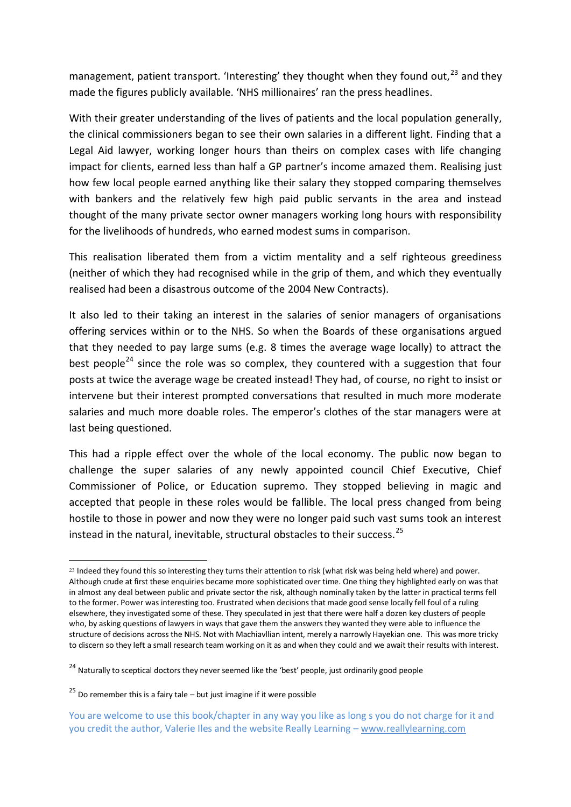management, patient transport. 'Interesting' they thought when they found out, $^{23}$  and they made the figures publicly available. 'NHS millionaires' ran the press headlines.

With their greater understanding of the lives of patients and the local population generally, the clinical commissioners began to see their own salaries in a different light. Finding that a Legal Aid lawyer, working longer hours than theirs on complex cases with life changing impact for clients, earned less than half a GP partner's income amazed them. Realising just how few local people earned anything like their salary they stopped comparing themselves with bankers and the relatively few high paid public servants in the area and instead thought of the many private sector owner managers working long hours with responsibility for the livelihoods of hundreds, who earned modest sums in comparison.

This realisation liberated them from a victim mentality and a self righteous greediness (neither of which they had recognised while in the grip of them, and which they eventually realised had been a disastrous outcome of the 2004 New Contracts).

It also led to their taking an interest in the salaries of senior managers of organisations offering services within or to the NHS. So when the Boards of these organisations argued that they needed to pay large sums (e.g. 8 times the average wage locally) to attract the best people<sup>24</sup> since the role was so complex, they countered with a suggestion that four posts at twice the average wage be created instead! They had, of course, no right to insist or intervene but their interest prompted conversations that resulted in much more moderate salaries and much more doable roles. The emperor's clothes of the star managers were at last being questioned.

This had a ripple effect over the whole of the local economy. The public now began to challenge the super salaries of any newly appointed council Chief Executive, Chief Commissioner of Police, or Education supremo. They stopped believing in magic and accepted that people in these roles would be fallible. The local press changed from being hostile to those in power and now they were no longer paid such vast sums took an interest instead in the natural, inevitable, structural obstacles to their success.  $^{25}$ 

<sup>23</sup> Indeed they found this so interesting they turns their attention to risk (what risk was being held where) and power. Although crude at first these enquiries became more sophisticated over time. One thing they highlighted early on was that in almost any deal between public and private sector the risk, although nominally taken by the latter in practical terms fell to the former. Power was interesting too. Frustrated when decisions that made good sense locally fell foul of a ruling elsewhere, they investigated some of these. They speculated in jest that there were half a dozen key clusters of people who, by asking questions of lawyers in ways that gave them the answers they wanted they were able to influence the structure of decisions across the NHS. Not with Machiavllian intent, merely a narrowly Hayekian one. This was more tricky to discern so they left a small research team working on it as and when they could and we await their results with interest.

<sup>&</sup>lt;sup>24</sup> Naturally to sceptical doctors they never seemed like the 'best' people, just ordinarily good people

 $25$  Do remember this is a fairy tale – but just imagine if it were possible

You are welcome to use this book/chapter in any way you like as long s you do not charge for it and you credit the author, Valerie Iles and the website Really Learning – www.reallylearning.com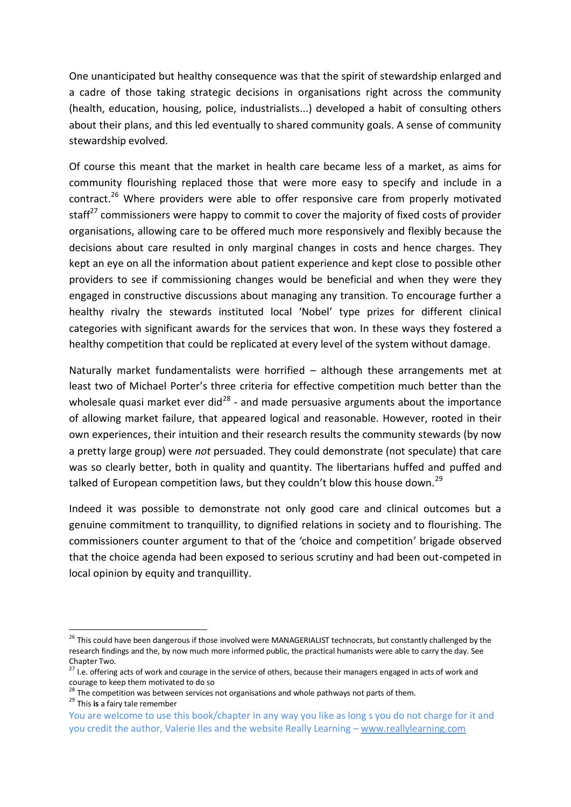One unanticipated but healthy consequence was that the spirit of stewardship enlarged and a cadre of those taking strategic decisions in organisations right across the community (health, education, housing, police, industrialists...) developed a habit of consulting others about their plans, and this led eventually to shared community goals. A sense of community stewardship evolved.

Of course this meant that the market in health care became less of a market, as aims for community flourishing replaced those that were more easy to specify and include in a contract.<sup>26</sup> Where providers were able to offer responsive care from properly motivated staff $^{27}$  commissioners were happy to commit to cover the majority of fixed costs of provider organisations, allowing care to be offered much more responsively and flexibly because the decisions about care resulted in only marginal changes in costs and hence charges. They kept an eye on all the information about patient experience and kept close to possible other providers to see if commissioning changes would be beneficial and when they were they engaged in constructive discussions about managing any transition. To encourage further a healthy rivalry the stewards instituted local 'Nobel' type prizes for different clinical categories with significant awards for the services that won. In these ways they fostered a healthy competition that could be replicated at every level of the system without damage.

Naturally market fundamentalists were horrified – although these arrangements met at least two of Michael Porter's three criteria for effective competition much better than the wholesale quasi market ever did $^{28}$  - and made persuasive arguments about the importance of allowing market failure, that appeared logical and reasonable. However, rooted in their own experiences, their intuition and their research results the community stewards (by now a pretty large group) were *not* persuaded. They could demonstrate (not speculate) that care was so clearly better, both in quality and quantity. The libertarians huffed and puffed and talked of European competition laws, but they couldn't blow this house down.<sup>29</sup>

Indeed it was possible to demonstrate not only good care and clinical outcomes but a genuine commitment to tranquillity, to dignified relations in society and to flourishing. The commissioners counter argument to that of the 'choice and competition' brigade observed that the choice agenda had been exposed to serious scrutiny and had been out-competed in local opinion by equity and tranquillity.

<sup>&</sup>lt;sup>26</sup> This could have been dangerous if those involved were MANAGERIALIST technocrats, but constantly challenged by the research findings and the, by now much more informed public, the practical humanists were able to carry the day. See Chapter Two.

<sup>27</sup> I.e. offering acts of work and courage in the service of others, because their managers engaged in acts of work and courage to keep them motivated to do so

 $^{28}$  The competition was between services not organisations and whole pathways not parts of them.

<sup>29</sup> This **is** a fairy tale remember

You are welcome to use this book/chapter in any way you like as long s you do not charge for it and you credit the author, Valerie Iles and the website Really Learning – www.reallylearning.com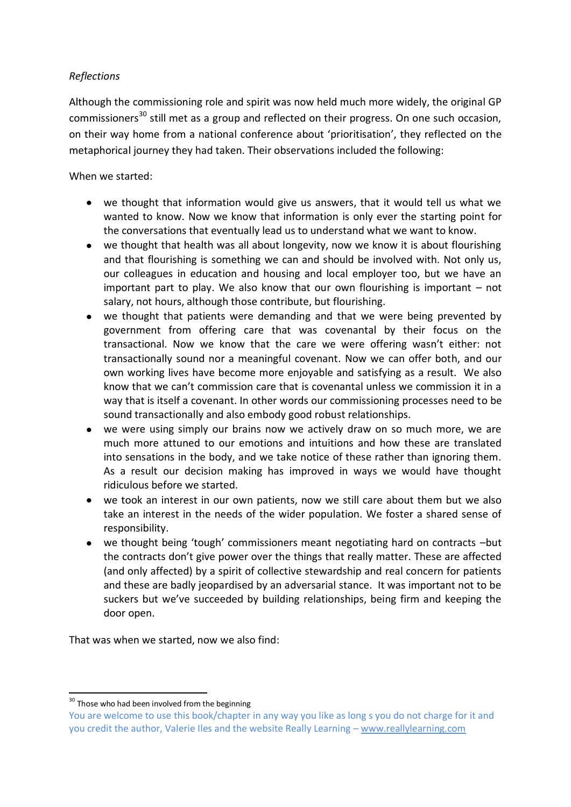## *Reflections*

Although the commissioning role and spirit was now held much more widely, the original GP commissioners<sup>30</sup> still met as a group and reflected on their progress. On one such occasion, on their way home from a national conference about 'prioritisation', they reflected on the metaphorical journey they had taken. Their observations included the following:

## When we started:

- we thought that information would give us answers, that it would tell us what we wanted to know. Now we know that information is only ever the starting point for the conversations that eventually lead us to understand what we want to know.
- we thought that health was all about longevity, now we know it is about flourishing and that flourishing is something we can and should be involved with. Not only us, our colleagues in education and housing and local employer too, but we have an important part to play. We also know that our own flourishing is important  $-$  not salary, not hours, although those contribute, but flourishing.
- we thought that patients were demanding and that we were being prevented by government from offering care that was covenantal by their focus on the transactional. Now we know that the care we were offering wasn't either: not transactionally sound nor a meaningful covenant. Now we can offer both, and our own working lives have become more enjoyable and satisfying as a result. We also know that we can't commission care that is covenantal unless we commission it in a way that is itself a covenant. In other words our commissioning processes need to be sound transactionally and also embody good robust relationships.
- we were using simply our brains now we actively draw on so much more, we are much more attuned to our emotions and intuitions and how these are translated into sensations in the body, and we take notice of these rather than ignoring them. As a result our decision making has improved in ways we would have thought ridiculous before we started.
- we took an interest in our own patients, now we still care about them but we also take an interest in the needs of the wider population. We foster a shared sense of responsibility.
- we thought being 'tough' commissioners meant negotiating hard on contracts –but the contracts don't give power over the things that really matter. These are affected (and only affected) by a spirit of collective stewardship and real concern for patients and these are badly jeopardised by an adversarial stance. It was important not to be suckers but we've succeeded by building relationships, being firm and keeping the door open.

That was when we started, now we also find:

**<sup>.</sup>** <sup>30</sup> Those who had been involved from the beginning

You are welcome to use this book/chapter in any way you like as long s you do not charge for it and you credit the author, Valerie Iles and the website Really Learning – www.reallylearning.com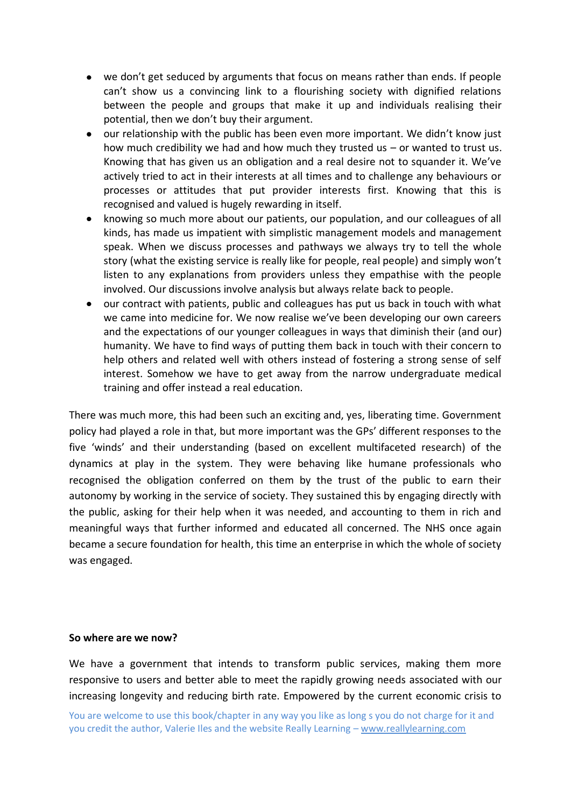- we don't get seduced by arguments that focus on means rather than ends. If people can't show us a convincing link to a flourishing society with dignified relations between the people and groups that make it up and individuals realising their potential, then we don't buy their argument.
- our relationship with the public has been even more important. We didn't know just how much credibility we had and how much they trusted us – or wanted to trust us. Knowing that has given us an obligation and a real desire not to squander it. We've actively tried to act in their interests at all times and to challenge any behaviours or processes or attitudes that put provider interests first. Knowing that this is recognised and valued is hugely rewarding in itself.
- $\bullet$ knowing so much more about our patients, our population, and our colleagues of all kinds, has made us impatient with simplistic management models and management speak. When we discuss processes and pathways we always try to tell the whole story (what the existing service is really like for people, real people) and simply won't listen to any explanations from providers unless they empathise with the people involved. Our discussions involve analysis but always relate back to people.
- our contract with patients, public and colleagues has put us back in touch with what  $\bullet$ we came into medicine for. We now realise we've been developing our own careers and the expectations of our younger colleagues in ways that diminish their (and our) humanity. We have to find ways of putting them back in touch with their concern to help others and related well with others instead of fostering a strong sense of self interest. Somehow we have to get away from the narrow undergraduate medical training and offer instead a real education.

There was much more, this had been such an exciting and, yes, liberating time. Government policy had played a role in that, but more important was the GPs' different responses to the five 'winds' and their understanding (based on excellent multifaceted research) of the dynamics at play in the system. They were behaving like humane professionals who recognised the obligation conferred on them by the trust of the public to earn their autonomy by working in the service of society. They sustained this by engaging directly with the public, asking for their help when it was needed, and accounting to them in rich and meaningful ways that further informed and educated all concerned. The NHS once again became a secure foundation for health, this time an enterprise in which the whole of society was engaged.

#### **So where are we now?**

We have a government that intends to transform public services, making them more responsive to users and better able to meet the rapidly growing needs associated with our increasing longevity and reducing birth rate. Empowered by the current economic crisis to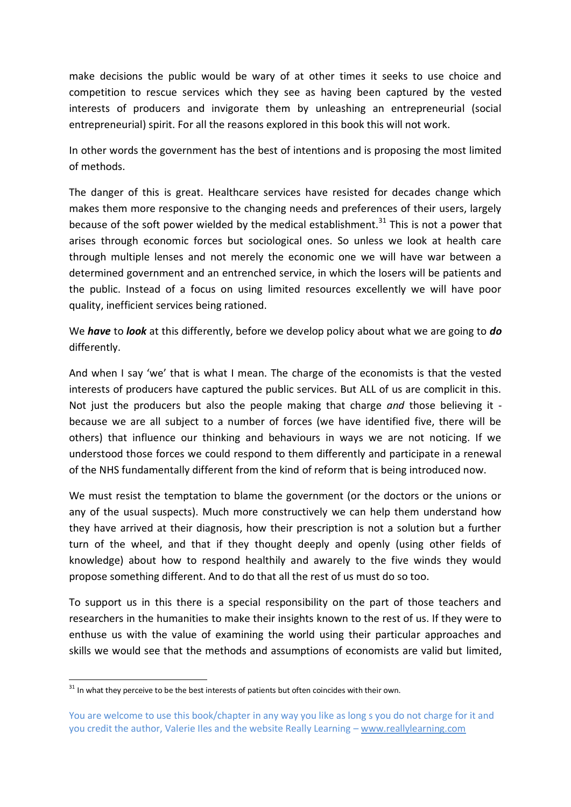make decisions the public would be wary of at other times it seeks to use choice and competition to rescue services which they see as having been captured by the vested interests of producers and invigorate them by unleashing an entrepreneurial (social entrepreneurial) spirit. For all the reasons explored in this book this will not work.

In other words the government has the best of intentions and is proposing the most limited of methods.

The danger of this is great. Healthcare services have resisted for decades change which makes them more responsive to the changing needs and preferences of their users, largely because of the soft power wielded by the medical establishment.<sup>31</sup> This is not a power that arises through economic forces but sociological ones. So unless we look at health care through multiple lenses and not merely the economic one we will have war between a determined government and an entrenched service, in which the losers will be patients and the public. Instead of a focus on using limited resources excellently we will have poor quality, inefficient services being rationed.

We *have* to *look* at this differently, before we develop policy about what we are going to *do* differently.

And when I say 'we' that is what I mean. The charge of the economists is that the vested interests of producers have captured the public services. But ALL of us are complicit in this. Not just the producers but also the people making that charge *and* those believing it because we are all subject to a number of forces (we have identified five, there will be others) that influence our thinking and behaviours in ways we are not noticing. If we understood those forces we could respond to them differently and participate in a renewal of the NHS fundamentally different from the kind of reform that is being introduced now.

We must resist the temptation to blame the government (or the doctors or the unions or any of the usual suspects). Much more constructively we can help them understand how they have arrived at their diagnosis, how their prescription is not a solution but a further turn of the wheel, and that if they thought deeply and openly (using other fields of knowledge) about how to respond healthily and awarely to the five winds they would propose something different. And to do that all the rest of us must do so too.

To support us in this there is a special responsibility on the part of those teachers and researchers in the humanities to make their insights known to the rest of us. If they were to enthuse us with the value of examining the world using their particular approaches and skills we would see that the methods and assumptions of economists are valid but limited,

 $31$  In what they perceive to be the best interests of patients but often coincides with their own.

You are welcome to use this book/chapter in any way you like as long s you do not charge for it and you credit the author, Valerie Iles and the website Really Learning – www.reallylearning.com